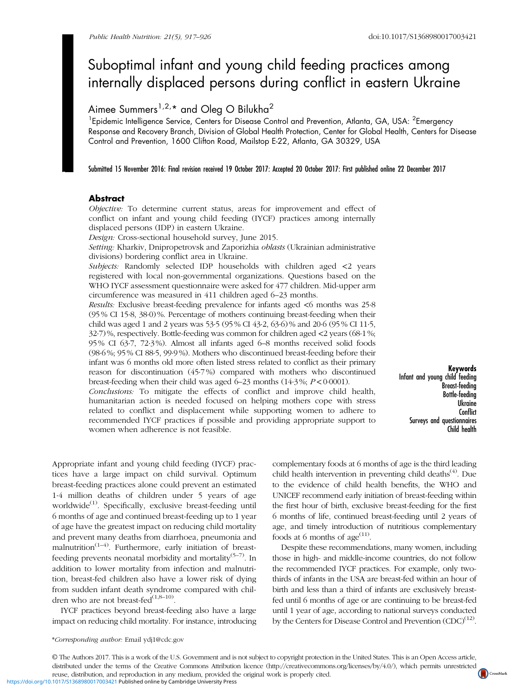# Suboptimal infant and young child feeding practices among internally displaced persons during conflict in eastern Ukraine

# Aimee Summers<sup>1,2,\*</sup> and Oleg O Bilukha<sup>2</sup>

<sup>1</sup> Epidemic Intelligence Service, Centers for Disease Control and Prevention, Atlanta, GA, USA: <sup>2</sup> Emergency Response and Recovery Branch, Division of Global Health Protection, Center for Global Health, Centers for Disease Control and Prevention, 1600 Clifton Road, Mailstop E-22, Atlanta, GA 30329, USA

Submitted 15 November 2016: Final revision received 19 October 2017: Accepted 20 October 2017: First published online 22 December 2017

# **Abstract**

Objective: To determine current status, areas for improvement and effect of conflict on infant and young child feeding (IYCF) practices among internally displaced persons (IDP) in eastern Ukraine.

Design: Cross-sectional household survey, June 2015.

Setting: Kharkiv, Dnipropetrovsk and Zaporizhia oblasts (Ukrainian administrative divisions) bordering conflict area in Ukraine.

Subjects: Randomly selected IDP households with children aged  $\langle 2 \rangle$  years registered with local non-governmental organizations. Questions based on the WHO IYCF assessment questionnaire were asked for 477 children. Mid-upper arm circumference was measured in 411 children aged 6–23 months.

Results: Exclusive breast-feeding prevalence for infants aged <6 months was 25·8 (95 % CI 15·8, 38·0) %. Percentage of mothers continuing breast-feeding when their child was aged 1 and 2 years was 53·5 (95 % CI 43·2, 63·6) % and 20·6 (95 % CI 11·5, 32·7) %, respectively. Bottle-feeding was common for children aged <2 years (68·1 %; 95 % CI 63·7, 72·3 %). Almost all infants aged 6–8 months received solid foods (98·6 %; 95 % CI 88·5, 99·9 %). Mothers who discontinued breast-feeding before their infant was 6 months old more often listed stress related to conflict as their primary reason for discontinuation (45·7 %) compared with mothers who discontinued breast-feeding when their child was aged  $6-23$  months  $(14.3\%; P<0.0001)$ . Conclusions: To mitigate the effects of conflict and improve child health, humanitarian action is needed focused on helping mothers cope with stress related to conflict and displacement while supporting women to adhere to

recommended IYCF practices if possible and providing appropriate support to

Keywords Infant and young child feeding Breast-feeding Bottle-feeding **Ukraine Conflict** Surveys and questionnaires Child health

Appropriate infant and young child feeding (IYCF) practices have a large impact on child survival. Optimum breast-feeding practices alone could prevent an estimated 1·4 million deaths of children under 5 years of age worldwide<sup>([1](#page-8-0))</sup>. Specifically, exclusive breast-feeding until 6 months of age and continued breast-feeding up to 1 year of age have the greatest impact on reducing child mortality and prevent many deaths from diarrhoea, pneumonia and malnutrition<sup> $(1-4)$  $(1-4)$  $(1-4)$  $(1-4)$ </sup>. Furthermore, early initiation of breast-feeding prevents neonatal morbidity and mortality<sup>[\(5](#page-8-0)-[7\)](#page-8-0)</sup>. In addition to lower mortality from infection and malnutrition, breast-fed children also have a lower risk of dying from sudden infant death syndrome compared with children who are not breast-fed $^{(1,8-10)}$  $^{(1,8-10)}$  $^{(1,8-10)}$  $^{(1,8-10)}$  $^{(1,8-10)}$ .

women when adherence is not feasible.

IYCF practices beyond breast-feeding also have a large impact on reducing child mortality. For instance, introducing complementary foods at 6 months of age is the third leading child health intervention in preventing child deaths<sup>([4](#page-8-0))</sup>. Due to the evidence of child health benefits, the WHO and UNICEF recommend early initiation of breast-feeding within the first hour of birth, exclusive breast-feeding for the first 6 months of life, continued breast-feeding until 2 years of age, and timely introduction of nutritious complementary foods at 6 months of  $age^{(11)}$  $age^{(11)}$  $age^{(11)}$ .

Despite these recommendations, many women, including those in high- and middle-income countries, do not follow the recommended IYCF practices. For example, only twothirds of infants in the USA are breast-fed within an hour of birth and less than a third of infants are exclusively breastfed until 6 months of age or are continuing to be breast-fed until 1 year of age, according to national surveys conducted by the Centers for Disease Control and Prevention (CDC)<sup>[\(12](#page-8-0))</sup>.

© The Authors 2017. This is a work of the U.S. Government and is not subject to copyright protection in the United States. This is an Open Access article, distributed under the terms of the Creative Commons Attribution licence (http://creativecommons.org/licenses/by/4.0/), which permits unrestricted CrossMark reuse, distribution, and reproduction in any medium, provided the original work is properly cited. <https://doi.org/10.1017/S1368980017003421>Published online by Cambridge University Press

<sup>\*</sup>Corresponding author: Email ydj1@cdc.gov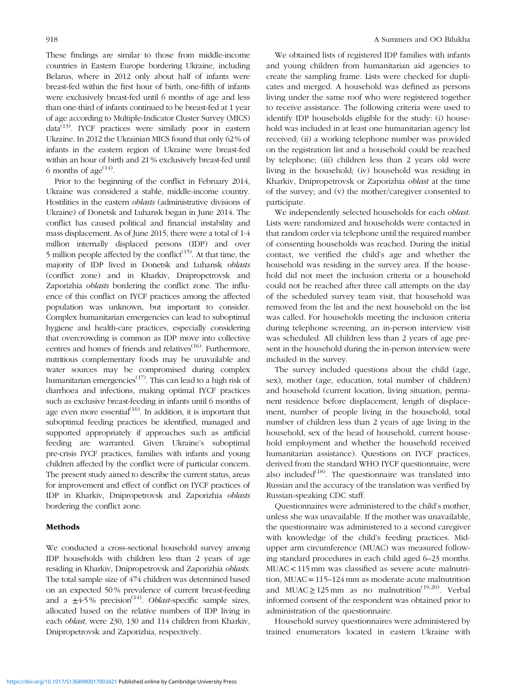These findings are similar to those from middle-income countries in Eastern Europe bordering Ukraine, including Belarus, where in 2012 only about half of infants were breast-fed within the first hour of birth, one-fifth of infants were exclusively breast-fed until 6 months of age and less than one-third of infants continued to be breast-fed at 1 year of age according to Multiple-Indicator Cluster Survey (MICS) data $^{(13)}$  $^{(13)}$  $^{(13)}$ . IYCF practices were similarly poor in eastern Ukraine. In 2012 the Ukrainian MICS found that only 62 % of infants in the eastern region of Ukraine were breast-fed within an hour of birth and 21 % exclusively breast-fed until 6 months of age<sup> $(14)$ </sup>.

Prior to the beginning of the conflict in February 2014, Ukraine was considered a stable, middle-income country. Hostilities in the eastern oblasts (administrative divisions of Ukraine) of Donetsk and Luhansk began in June 2014. The conflict has caused political and financial instability and mass displacement. As of June 2015, there were a total of 1·4 million internally displaced persons (IDP) and over 5 million people affected by the conflict[\(15\)](#page-8-0). At that time, the majority of IDP lived in Donetsk and Luhansk oblasts (conflict zone) and in Kharkiv, Dnipropetrovsk and Zaporizhia oblasts bordering the conflict zone. The influence of this conflict on IYCF practices among the affected population was unknown, but important to consider. Complex humanitarian emergencies can lead to suboptimal hygiene and health-care practices, especially considering that overcrowding is common as IDP move into collective centres and homes of friends and relatives $(16)$ . Furthermore, nutritious complementary foods may be unavailable and water sources may be compromised during complex humanitarian emergencies<sup>[\(17\)](#page-8-0)</sup>. This can lead to a high risk of diarrhoea and infections, making optimal IYCF practices such as exclusive breast-feeding in infants until 6 months of age even more essential $(16)$ . In addition, it is important that suboptimal feeding practices be identified, managed and supported appropriately if approaches such as artificial feeding are warranted. Given Ukraine's suboptimal pre-crisis IYCF practices, families with infants and young children affected by the conflict were of particular concern. The present study aimed to describe the current status, areas for improvement and effect of conflict on IYCF practices of IDP in Kharkiv, Dnipropetrovsk and Zaporizhia oblasts bordering the conflict zone.

## Methods

We conducted a cross-sectional household survey among IDP households with children less than 2 years of age residing in Kharkiv, Dnipropetrovsk and Zaporizhia oblasts. The total sample size of 474 children was determined based on an expected 50 % prevalence of current breast-feeding and a  $\pm 4.5\%$  precision<sup>[\(14\)](#page-8-0)</sup>. Oblast-specific sample sizes, allocated based on the relative numbers of IDP living in each oblast, were 230, 130 and 114 children from Kharkiv, Dnipropetrovsk and Zaporizhia, respectively.

We obtained lists of registered IDP families with infants and young children from humanitarian aid agencies to create the sampling frame. Lists were checked for duplicates and merged. A household was defined as persons living under the same roof who were registered together to receive assistance. The following criteria were used to identify IDP households eligible for the study: (i) household was included in at least one humanitarian agency list received; (ii) a working telephone number was provided on the registration list and a household could be reached by telephone; (iii) children less than 2 years old were living in the household; (iv) household was residing in Kharkiv, Dnipropetrovsk or Zaporizhia oblast at the time of the survey; and (v) the mother/caregiver consented to participate.

We independently selected households for each oblast. Lists were randomized and households were contacted in that random order via telephone until the required number of consenting households was reached. During the initial contact, we verified the child's age and whether the household was residing in the survey area. If the household did not meet the inclusion criteria or a household could not be reached after three call attempts on the day of the scheduled survey team visit, that household was removed from the list and the next household on the list was called. For households meeting the inclusion criteria during telephone screening, an in-person interview visit was scheduled. All children less than 2 years of age present in the household during the in-person interview were included in the survey.

The survey included questions about the child (age, sex), mother (age, education, total number of children) and household (current location, living situation, permanent residence before displacement, length of displacement, number of people living in the household, total number of children less than 2 years of age living in the household, sex of the head of household, current household employment and whether the household received humanitarian assistance). Questions on IYCF practices, derived from the standard WHO IYCF questionnaire, were also included $(18)$  $(18)$ . The questionnaire was translated into Russian and the accuracy of the translation was verified by Russian-speaking CDC staff.

Questionnaires were administered to the child's mother, unless she was unavailable. If the mother was unavailable, the questionnaire was administered to a second caregiver with knowledge of the child's feeding practices. Midupper arm circumference (MUAC) was measured following standard procedures in each child aged 6–23 months. MUAC<115 mm was classified as severe acute malnutrition, MUAC=115–124 mm as moderate acute malnutrition and MUAC  $\geq$  125 mm as no malnutrition<sup>[\(19](#page-8-0),[20](#page-8-0))</sup>. Verbal informed consent of the respondent was obtained prior to administration of the questionnaire.

Household survey questionnaires were administered by trained enumerators located in eastern Ukraine with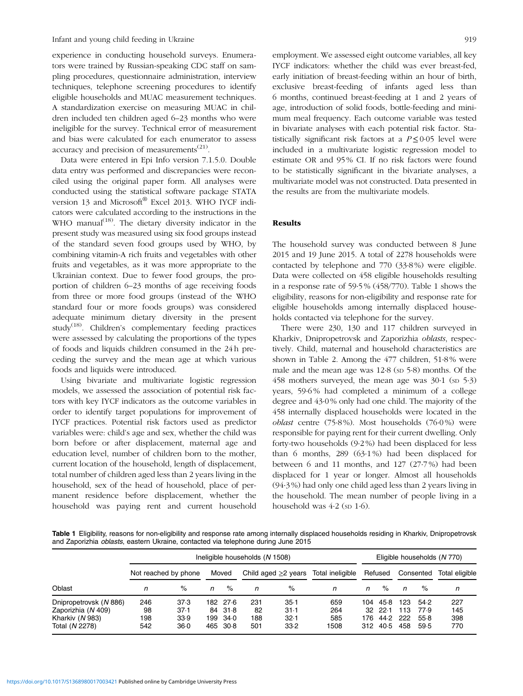experience in conducting household surveys. Enumerators were trained by Russian-speaking CDC staff on sampling procedures, questionnaire administration, interview techniques, telephone screening procedures to identify eligible households and MUAC measurement techniques. A standardization exercise on measuring MUAC in children included ten children aged 6–23 months who were ineligible for the survey. Technical error of measurement and bias were calculated for each enumerator to assess accuracy and precision of measurements $(21)$  $(21)$ .

Data were entered in Epi Info version 7.1.5.0. Double data entry was performed and discrepancies were reconciled using the original paper form. All analyses were conducted using the statistical software package STATA version 13 and Microsoft® Excel 2013. WHO IYCF indicators were calculated according to the instructions in the WHO manual $(18)$ . The dietary diversity indicator in the present study was measured using six food groups instead of the standard seven food groups used by WHO, by combining vitamin-A rich fruits and vegetables with other fruits and vegetables, as it was more appropriate to the Ukrainian context. Due to fewer food groups, the proportion of children 6–23 months of age receiving foods from three or more food groups (instead of the WHO standard four or more foods groups) was considered adequate minimum dietary diversity in the present study<sup>([18\)](#page-8-0)</sup>. Children's complementary feeding practices were assessed by calculating the proportions of the types of foods and liquids children consumed in the 24 h preceding the survey and the mean age at which various foods and liquids were introduced.

Using bivariate and multivariate logistic regression models, we assessed the association of potential risk factors with key IYCF indicators as the outcome variables in order to identify target populations for improvement of IYCF practices. Potential risk factors used as predictor variables were: child's age and sex, whether the child was born before or after displacement, maternal age and education level, number of children born to the mother, current location of the household, length of displacement, total number of children aged less than 2 years living in the household, sex of the head of household, place of permanent residence before displacement, whether the household was paying rent and current household employment. We assessed eight outcome variables, all key IYCF indicators: whether the child was ever breast-fed, early initiation of breast-feeding within an hour of birth, exclusive breast-feeding of infants aged less than 6 months, continued breast-feeding at 1 and 2 years of age, introduction of solid foods, bottle-feeding and minimum meal frequency. Each outcome variable was tested in bivariate analyses with each potential risk factor. Statistically significant risk factors at a  $P \le 0.05$  level were included in a multivariate logistic regression model to estimate OR and 95 % CI. If no risk factors were found to be statistically significant in the bivariate analyses, a multivariate model was not constructed. Data presented in the results are from the multivariate models.

# Results

The household survey was conducted between 8 June 2015 and 19 June 2015. A total of 2278 households were contacted by telephone and 770 (33·8 %) were eligible. Data were collected on 458 eligible households resulting in a response rate of 59·5 % (458/770). Table 1 shows the eligibility, reasons for non-eligibility and response rate for eligible households among internally displaced households contacted via telephone for the survey.

There were 230, 130 and 117 children surveyed in Kharkiv, Dnipropetrovsk and Zaporizhia oblasts, respectively. Child, maternal and household characteristics are shown in [Table 2.](#page-3-0) Among the 477 children, 51·8 % were male and the mean age was 12.8 (sp 5.8) months. Of the 458 mothers surveyed, the mean age was  $30·1$  (sp  $5·3$ ) years, 59·6 % had completed a minimum of a college degree and 43·0 % only had one child. The majority of the 458 internally displaced households were located in the oblast centre (75·8 %). Most households (76·0 %) were responsible for paying rent for their current dwelling. Only forty-two households (9·2 %) had been displaced for less than 6 months, 289 (63·1 %) had been displaced for between 6 and 11 months, and 127 (27·7 %) had been displaced for 1 year or longer. Almost all households (94·3 %) had only one child aged less than 2 years living in the household. The mean number of people living in a household was  $4.2$  (sp  $1.6$ ).

Table 1 Eligibility, reasons for non-eligibility and response rate among internally displaced households residing in Kharkiv, Dnipropetrovsk and Zaporizhia oblasts, eastern Ukraine, contacted via telephone during June 2015

|                                                                                   |                         |                              |     |                                          | Ineligible households (N 1508) |                                |                                            | Eligible households (N 770) |                                             |                          |                              |                          |
|-----------------------------------------------------------------------------------|-------------------------|------------------------------|-----|------------------------------------------|--------------------------------|--------------------------------|--------------------------------------------|-----------------------------|---------------------------------------------|--------------------------|------------------------------|--------------------------|
|                                                                                   |                         | Not reached by phone         |     | Moved                                    |                                |                                | Child aged $\geq 2$ years Total ineligible |                             | Refused                                     |                          | Consented                    | Total eligible           |
| Oblast                                                                            | n                       | $\%$                         | n   | $\%$                                     | n                              | %                              | n                                          | n                           | %                                           | n                        | $\%$                         | n                        |
| Dnipropetrovsk (N 886)<br>Zaporizhia (N 409)<br>Kharkiv (N 983)<br>Total (N 2278) | 246<br>98<br>198<br>542 | 37.3<br>37.1<br>33.9<br>36.0 | 199 | 182 27.6<br>84 31.8<br>-34.0<br>465 30.8 | 231<br>82<br>188<br>501        | 35.1<br>$31-1$<br>32.1<br>33.2 | 659<br>264<br>585<br>1508                  | 104.<br>176.                | 45.8<br>$32 \quad 22.1$<br>44.2<br>312 40.5 | 123<br>113<br>222<br>458 | 54.2<br>77.9<br>55.8<br>59.5 | 227<br>145<br>398<br>770 |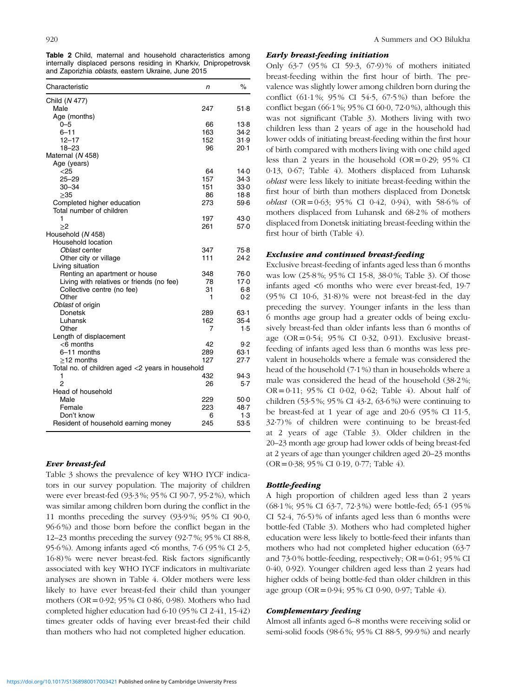<span id="page-3-0"></span>Table 2 Child, maternal and household characteristics among internally displaced persons residing in Kharkiv, Dnipropetrovsk and Zaporizhia oblasts, eastern Ukraine, June 2015

| Characteristic                                   | n   | %      |
|--------------------------------------------------|-----|--------|
| Child (N 477)                                    |     |        |
| Male                                             | 247 | 51.8   |
| Age (months)                                     |     |        |
| $0 - 5$                                          | 66  | $13-8$ |
| $6 - 11$                                         | 163 | 34.2   |
| $12 - 17$                                        | 152 | 31.9   |
| $18 - 23$                                        | 96  | 20 1   |
| Maternal (N 458)                                 |     |        |
| Age (years)                                      |     |        |
| < 25                                             | 64  | 14.0   |
| $25 - 29$                                        | 157 | 34.3   |
| $30 - 34$                                        | 151 | 33.0   |
| >35                                              | 86  | 18.8   |
| Completed higher education                       | 273 | 59.6   |
| Total number of children                         |     |        |
| 1                                                | 197 | 43.0   |
| >2                                               | 261 | 57.0   |
| Household (N 458)                                |     |        |
| Household location                               |     |        |
| Oblast center                                    | 347 | 75.8   |
| Other city or village                            | 111 | 24.2   |
| Living situation                                 |     |        |
| Renting an apartment or house                    | 348 | 76.0   |
| Living with relatives or friends (no fee)        | 78  | 17.0   |
| Collective centre (no fee)                       | 31  | $6-8$  |
| Other                                            | 1   | 0.2    |
| Oblast of origin<br><b>Donetsk</b>               | 289 | 63.1   |
| Luhansk                                          | 162 | $35-4$ |
| Other                                            | 7   | 1.5    |
| Length of displacement                           |     |        |
| $<$ 6 months                                     | 42  | 9.2    |
| 6-11 months                                      | 289 | 63.1   |
| $\geq$ 12 months                                 | 127 | 27.7   |
| Total no. of children aged <2 years in household |     |        |
| 1                                                | 432 | 94.3   |
| 2                                                | 26  | $5-7$  |
| Head of household                                |     |        |
| Male                                             | 229 | 50.0   |
| Female                                           | 223 | 48.7   |
| Don't know                                       | 6   | 1.3    |
| Resident of household earning money              | 245 | 53.5   |
|                                                  |     |        |

#### Ever breast-fed

[Table 3](#page-4-0) shows the prevalence of key WHO IYCF indicators in our survey population. The majority of children were ever breast-fed (93·3 %; 95 % CI 90·7, 95·2 %), which was similar among children born during the conflict in the 11 months preceding the survey (93·9 %; 95 % CI 90·0, 96·6 %) and those born before the conflict began in the 12–23 months preceding the survey (92·7 %; 95 % CI 88·8, 95·6 %). Among infants aged <6 months, 7·6 (95 % CI 2·5, 16·8) % were never breast-fed. Risk factors significantly associated with key WHO IYCF indicators in multivariate analyses are shown in [Table 4](#page-4-0). Older mothers were less likely to have ever breast-fed their child than younger mothers (OR=0·92; 95 % CI 0·86, 0·98). Mothers who had completed higher education had 6·10 (95 % CI 2·41, 15·42) times greater odds of having ever breast-fed their child than mothers who had not completed higher education.

#### Early breast-feeding initiation

Only 63·7 (95 % CI 59·3, 67·9) % of mothers initiated breast-feeding within the first hour of birth. The prevalence was slightly lower among children born during the conflict (61·1 %; 95 % CI 54·5, 67·5 %) than before the conflict began (66·1 %; 95 % CI 60·0, 72·0 %), although this was not significant ([Table 3](#page-4-0)). Mothers living with two children less than 2 years of age in the household had lower odds of initiating breast-feeding within the first hour of birth compared with mothers living with one child aged less than 2 years in the household  $(OR=0.29; 95\% \text{ CI})$ 0·13, 0·67; [Table 4](#page-4-0)). Mothers displaced from Luhansk oblast were less likely to initiate breast-feeding within the first hour of birth than mothers displaced from Donetsk  $oblast$  (OR = 0.63; 95% CI 0.42, 0.94), with 58.6% of mothers displaced from Luhansk and 68·2 % of mothers displaced from Donetsk initiating breast-feeding within the first hour of birth [\(Table 4](#page-4-0)).

#### Exclusive and continued breast-feeding

Exclusive breast-feeding of infants aged less than 6 months was low (25·8 %; 95 % CI 15·8, 38·0 %; [Table 3\)](#page-4-0). Of those infants aged <6 months who were ever breast-fed, 19·7 (95 % CI 10·6, 31·8) % were not breast-fed in the day preceding the survey. Younger infants in the less than 6 months age group had a greater odds of being exclusively breast-fed than older infants less than 6 months of age (OR=0·54; 95 % CI 0·32, 0·91). Exclusive breastfeeding of infants aged less than 6 months was less prevalent in households where a female was considered the head of the household (7·1 %) than in households where a male was considered the head of the household (38·2 %; OR=0·11; 95 % CI 0·02, 0·62; [Table 4](#page-4-0)). About half of children (53·5 %; 95 % CI 43·2, 63·6 %) were continuing to be breast-fed at 1 year of age and 20·6 (95 % CI 11·5, 32·7) % of children were continuing to be breast-fed at 2 years of age ([Table 3](#page-4-0)). Older children in the 20–23 month age group had lower odds of being breast-fed at 2 years of age than younger children aged 20–23 months (OR=0·38; 95 % CI 0·19, 0·77; [Table 4\)](#page-4-0).

#### Bottle-feeding

A high proportion of children aged less than 2 years (68·1 %; 95 % CI 63·7, 72·3 %) were bottle-fed; 65·1 (95 % CI 52·4, 76·5) % of infants aged less than 6 months were bottle-fed ([Table 3](#page-4-0)). Mothers who had completed higher education were less likely to bottle-feed their infants than mothers who had not completed higher education (63·7 and 73 $\cdot$ 0 % bottle-feeding, respectively; OR = 0 $\cdot$ 61; 95 % CI 0·40, 0·92). Younger children aged less than 2 years had higher odds of being bottle-fed than older children in this age group (OR =0·94; 95 % CI 0·90, 0·97; [Table 4\)](#page-4-0).

#### Complementary feeding

Almost all infants aged 6–8 months were receiving solid or semi-solid foods (98·6 %; 95 % CI 88·5, 99·9 %) and nearly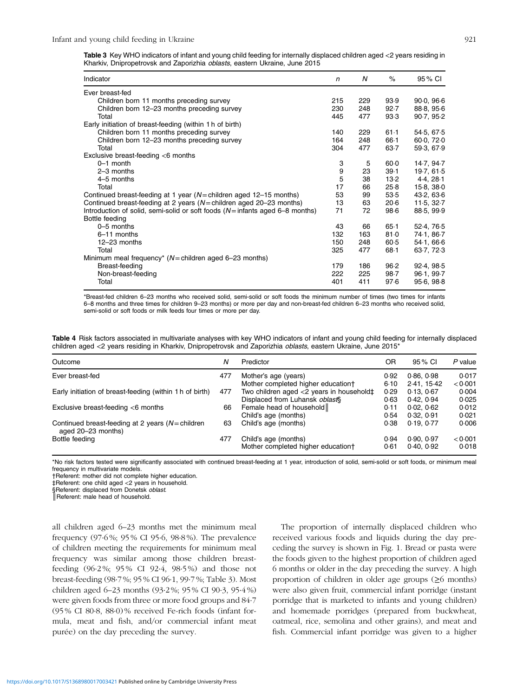<span id="page-4-0"></span>Table 3 Key WHO indicators of infant and young child feeding for internally displaced children aged <2 years residing in Kharkiv, Dnipropetrovsk and Zaporizhia oblasts, eastern Ukraine, June 2015

| Indicator                                                                      | n   | N   | $\%$     | 95% CI     |
|--------------------------------------------------------------------------------|-----|-----|----------|------------|
| Ever breast-fed                                                                |     |     |          |            |
| Children born 11 months preceding survey                                       | 215 | 229 | 93.9     | 90.0, 96.6 |
| Children born 12–23 months preceding survey                                    | 230 | 248 | 92.7     | 88.8, 95.6 |
| Total                                                                          | 445 | 477 | 93.3     | 90.7, 95.2 |
| Early initiation of breast-feeding (within 1 h of birth)                       |     |     |          |            |
| Children born 11 months preceding survey                                       | 140 | 229 | $61-1$   | 54.5, 67.5 |
| Children born 12-23 months preceding survey                                    | 164 | 248 | $66-1$   | 60.0, 72.0 |
| Total                                                                          | 304 | 477 | $63 - 7$ | 59.3, 67.9 |
| Exclusive breast-feeding $<$ 6 months                                          |     |     |          |            |
| $0-1$ month                                                                    | 3   | 5   | $60 - 0$ | 14.7, 94.7 |
| $2-3$ months                                                                   | 9   | 23  | 39.1     | 19.7, 61.5 |
| 4–5 months                                                                     | 5   | 38  | 13.2     | 4.4, 28.1  |
| Total                                                                          | 17  | 66  | 25.8     | 15.8, 38.0 |
| Continued breast-feeding at 1 year ( $N$ = children aged 12–15 months)         | 53  | 99  | 53.5     | 43.2, 63.6 |
| Continued breast-feeding at 2 years ( $N$ = children aged 20–23 months)        | 13  | 63  | 20.6     | 11.5, 32.7 |
| Introduction of solid, semi-solid or soft foods $(N=$ infants aged 6–8 months) | 71  | 72  | 98.6     | 88.5, 99.9 |
| Bottle feeding                                                                 |     |     |          |            |
| $0-5$ months                                                                   | 43  | 66  | 65.1     | 52.4, 76.5 |
| 6-11 months                                                                    | 132 | 163 | 81.0     | 74.1, 86.7 |
| $12 - 23$ months                                                               | 150 | 248 | 60.5     | 54.1, 66.6 |
| Total                                                                          | 325 | 477 | $68-1$   | 63.7, 72.3 |
| Minimum meal frequency* $(N =$ children aged 6–23 months)                      |     |     |          |            |
| Breast-feeding                                                                 | 179 | 186 | 96.2     | 92.4, 98.5 |
| Non-breast-feeding                                                             | 222 | 225 | 98.7     | 96.1, 99.7 |
| Total                                                                          | 401 | 411 | 97.6     | 95.6, 98.8 |
|                                                                                |     |     |          |            |

\*Breast-fed children 6–23 months who received solid, semi-solid or soft foods the minimum number of times (two times for infants 6–8 months and three times for children 9–23 months) or more per day and non-breast-fed children 6–23 months who received solid, semi-solid or soft foods or milk feeds four times or more per day.

Table 4 Risk factors associated in multivariate analyses with key WHO indicators of infant and young child feeding for internally displaced children aged <2 years residing in Kharkiv, Dnipropetrovsk and Zaporizhia oblasts, eastern Ukraine, June 2015\*

| Outcome                                                                   | N   | Predictor                                             | OR   | 95 % CI    | $P$ value |
|---------------------------------------------------------------------------|-----|-------------------------------------------------------|------|------------|-----------|
| Ever breast-fed                                                           | 477 | Mother's age (years)                                  | 0.92 | 0.86, 0.98 | 0.017     |
|                                                                           |     | Mother completed higher education+                    | 6.10 | 2.41.15.42 | < 0.001   |
| Early initiation of breast-feeding (within 1 h of birth)                  | 477 | Two children aged $<$ 2 years in household $\ddagger$ | 0.29 | 0.13.067   | 0.004     |
|                                                                           |     | Displaced from Luhansk oblast§                        | 0.63 | 0.42, 0.94 | 0.025     |
| Exclusive breast-feeding $<$ 6 months                                     | 66  | Female head of household                              | 0.11 | 0.02, 0.62 | 0.012     |
|                                                                           |     | Child's age (months)                                  | 0.54 | 0.32, 0.91 | 0.021     |
| Continued breast-feeding at 2 years $(N =$ children<br>aged 20-23 months) | 63  | Child's age (months)                                  | 0.38 | 0.19.0.77  | 0.006     |
| Bottle feeding                                                            | 477 | Child's age (months)                                  | 0.94 | 0.90, 0.97 | < 0.001   |
|                                                                           |     | Mother completed higher education+                    | 0.61 | 0.40, 0.92 | 0.018     |

\*No risk factors tested were significantly associated with continued breast-feeding at 1 year, introduction of solid, semi-solid or soft foods, or minimum meal frequency in multivariate models.

†Referent: mother did not complete higher education.

‡Referent: one child aged <2 years in household.

§Referent: displaced from Donetsk oblast.

Referent: male head of household.

all children aged 6–23 months met the minimum meal frequency (97·6 %; 95 % CI 95·6, 98·8 %). The prevalence of children meeting the requirements for minimum meal frequency was similar among those children breastfeeding (96·2 %; 95 % CI 92·4, 98·5 %) and those not breast-feeding (98·7 %; 95 % CI 96·1, 99·7 %; Table 3). Most children aged 6–23 months (93·2 %; 95 % CI 90·3, 95·4 %) were given foods from three or more food groups and 84·7 (95 % CI 80·8, 88·0) % received Fe-rich foods (infant formula, meat and fish, and/or commercial infant meat purée) on the day preceding the survey.

The proportion of internally displaced children who received various foods and liquids during the day preceding the survey is shown in [Fig. 1](#page-5-0). Bread or pasta were the foods given to the highest proportion of children aged 6 months or older in the day preceding the survey. A high proportion of children in older age groups  $(\geq 6 \text{ months})$ were also given fruit, commercial infant porridge (instant porridge that is marketed to infants and young children) and homemade porridges (prepared from buckwheat, oatmeal, rice, semolina and other grains), and meat and fish. Commercial infant porridge was given to a higher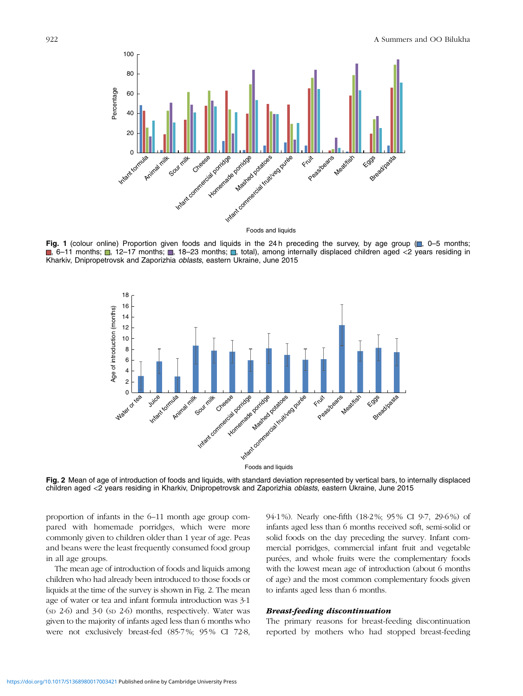<span id="page-5-0"></span>

Fig. 1 (colour online) Proportion given foods and liquids in the 24 h preceding the survey, by age group ( $\blacksquare$ , 0–5 months; **■**, 6–11 months; ■, 12–17 months; ■, 18–23 months; ■, total), among internally displaced children aged <2 years residing in Kharkiv, Dnipropetrovsk and Zaporizhia oblasts, eastern Ukraine, June 2015



Fig. 2 Mean of age of introduction of foods and liquids, with standard deviation represented by vertical bars, to internally displaced children aged <2 years residing in Kharkiv, Dnipropetrovsk and Zaporizhia oblasts, eastern Ukraine, June 2015

proportion of infants in the 6–11 month age group compared with homemade porridges, which were more commonly given to children older than 1 year of age. Peas and beans were the least frequently consumed food group in all age groups.

The mean age of introduction of foods and liquids among children who had already been introduced to those foods or liquids at the time of the survey is shown in Fig. 2. The mean age of water or tea and infant formula introduction was 3·1 (SD 2·6) and 3·0 (SD 2·6) months, respectively. Water was given to the majority of infants aged less than 6 months who were not exclusively breast-fed (85·7 %; 95 % CI 72·8,

94·1 %). Nearly one-fifth (18·2 %; 95 % CI 9·7, 29·6 %) of infants aged less than 6 months received soft, semi-solid or solid foods on the day preceding the survey. Infant commercial porridges, commercial infant fruit and vegetable purées, and whole fruits were the complementary foods with the lowest mean age of introduction (about 6 months of age) and the most common complementary foods given to infants aged less than 6 months.

#### Breast-feeding discontinuation

The primary reasons for breast-feeding discontinuation reported by mothers who had stopped breast-feeding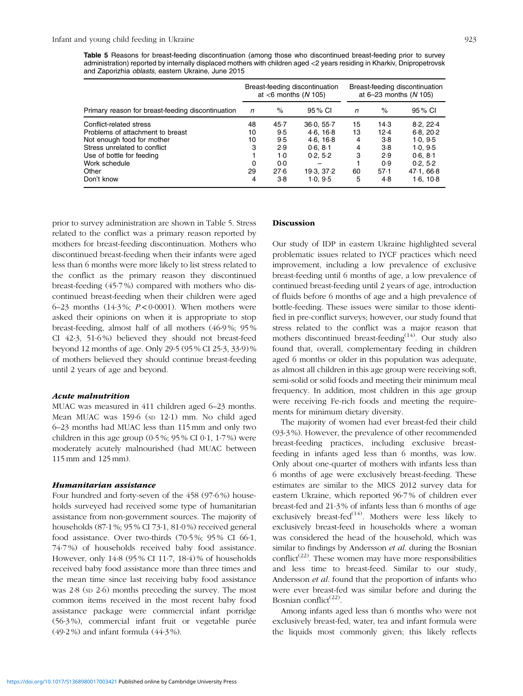Table 5 Reasons for breast-feeding discontinuation (among those who discontinued breast-feeding prior to survey administration) reported by internally displaced mothers with children aged <2 years residing in Kharkiv, Dnipropetrovsk and Zaporizhia oblasts, eastern Ukraine, June 2015

|                                                   | Breast-feeding discontinuation<br>at $<$ 6 months (N 105) |       |            | Breast-feeding discontinuation<br>at $6-23$ months $(N 105)$ |       |           |  |
|---------------------------------------------------|-----------------------------------------------------------|-------|------------|--------------------------------------------------------------|-------|-----------|--|
| Primary reason for breast-feeding discontinuation | n                                                         | $\%$  | 95 % CI    | n                                                            | $\%$  | 95 % CI   |  |
| Conflict-related stress                           | 48                                                        | 45.7  | 36.0, 55.7 | 15                                                           | 14.3  | 8.2, 22.4 |  |
| Problems of attachment to breast                  | 10                                                        | 9.5   | 4.6.16.8   | 13                                                           | 12.4  | 6.8.20.2  |  |
| Not enough food for mother                        | 10                                                        | 9.5   | 4.6.16.8   | 4                                                            | $3-8$ | 1.0.9.5   |  |
| Stress unrelated to conflict                      | з                                                         | 2.9   | 0.6, 8.1   | 4                                                            | $3-8$ | 1.0.9.5   |  |
| Use of bottle for feeding                         |                                                           | 1.0   | 0.2.5.2    | 3                                                            | 2.9   | 0.6, 8.1  |  |
| Work schedule                                     | 0                                                         | 0.0   |            |                                                              | 0.9   | 0.2.5.2   |  |
| Other                                             | 29                                                        | 27.6  | 19.3. 37.2 | 60                                                           | 57.1  | 47.1,66.8 |  |
| Don't know                                        | 4                                                         | $3-8$ | 1.0.9.5    | 5                                                            | 4.8   | 1.6, 10.8 |  |

prior to survey administration are shown in Table 5. Stress related to the conflict was a primary reason reported by mothers for breast-feeding discontinuation. Mothers who discontinued breast-feeding when their infants were aged less than 6 months were more likely to list stress related to the conflict as the primary reason they discontinued breast-feeding (45·7 %) compared with mothers who discontinued breast-feeding when their children were aged 6–23 months (14 $-3\%$ ;  $P < 0.0001$ ). When mothers were asked their opinions on when it is appropriate to stop breast-feeding, almost half of all mothers (46·9 %; 95 % CI 42·3, 51·6 %) believed they should not breast-feed beyond 12 months of age. Only 29·5 (95 % CI 25·3, 33·9) % of mothers believed they should continue breast-feeding until 2 years of age and beyond.

#### Acute malnutrition

MUAC was measured in 411 children aged 6–23 months. Mean MUAC was 159.6 (sp 12.1) mm. No child aged 6–23 months had MUAC less than 115 mm and only two children in this age group  $(0.5\%; 95\% \text{ CI } 0.1, 1.7\%)$  were moderately acutely malnourished (had MUAC between 115 mm and 125 mm).

## Humanitarian assistance

Four hundred and forty-seven of the 458 (97·6 %) households surveyed had received some type of humanitarian assistance from non-government sources. The majority of households (87·1 %; 95 % CI 73·1, 81·0 %) received general food assistance. Over two-thirds (70·5 %; 95 % CI 66·1, 74·7 %) of households received baby food assistance. However, only 14·8 (95 % CI 11·7, 18·4) % of households received baby food assistance more than three times and the mean time since last receiving baby food assistance was  $2.8$  (sp  $2.6$ ) months preceding the survey. The most common items received in the most recent baby food assistance package were commercial infant porridge (56·3 %), commercial infant fruit or vegetable purée (49·2 %) and infant formula (44·3 %).

# Discussion

Our study of IDP in eastern Ukraine highlighted several problematic issues related to IYCF practices which need improvement, including a low prevalence of exclusive breast-feeding until 6 months of age, a low prevalence of continued breast-feeding until 2 years of age, introduction of fluids before 6 months of age and a high prevalence of bottle-feeding. These issues were similar to those identified in pre-conflict surveys; however, our study found that stress related to the conflict was a major reason that mothers discontinued breast-feeding<sup> $(14)$  $(14)$ </sup>. Our study also found that, overall, complementary feeding in children aged 6 months or older in this population was adequate, as almost all children in this age group were receiving soft, semi-solid or solid foods and meeting their minimum meal frequency. In addition, most children in this age group were receiving Fe-rich foods and meeting the requirements for minimum dietary diversity.

The majority of women had ever breast-fed their child (93·3 %). However, the prevalence of other recommended breast-feeding practices, including exclusive breastfeeding in infants aged less than 6 months, was low. Only about one-quarter of mothers with infants less than 6 months of age were exclusively breast-feeding. These estimates are similar to the MICS 2012 survey data for eastern Ukraine, which reported 96·7 % of children ever breast-fed and 21·3 % of infants less than 6 months of age exclusively breast-fed $(14)$  $(14)$ . Mothers were less likely to exclusively breast-feed in households where a woman was considered the head of the household, which was similar to findings by Andersson et al. during the Bosnian conflict<sup> $(22)$  $(22)$ </sup>. These women may have more responsibilities and less time to breast-feed. Similar to our study, Andersson et al. found that the proportion of infants who were ever breast-fed was similar before and during the Bosnian conflict<sup> $(22)$  $(22)$ </sup>.

Among infants aged less than 6 months who were not exclusively breast-fed, water, tea and infant formula were the liquids most commonly given; this likely reflects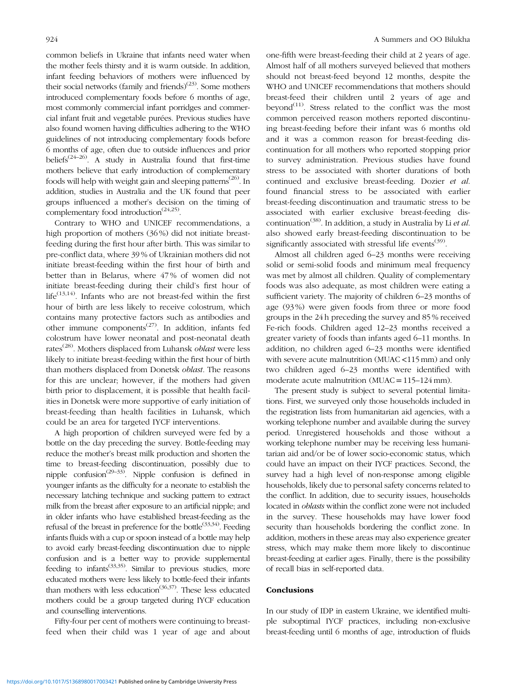common beliefs in Ukraine that infants need water when the mother feels thirsty and it is warm outside. In addition, infant feeding behaviors of mothers were influenced by their social networks (family and friends) $(23)$  $(23)$  $(23)$ . Some mothers introduced complementary foods before 6 months of age, most commonly commercial infant porridges and commercial infant fruit and vegetable purées. Previous studies have also found women having difficulties adhering to the WHO guidelines of not introducing complementary foods before 6 months of age, often due to outside influences and prior beliefs<sup> $(24–26)$  $(24–26)$  $(24–26)$  $(24–26)$ </sup>. A study in Australia found that first-time mothers believe that early introduction of complementary foods will help with weight gain and sleeping patterns<sup> $(26)$ </sup>. In addition, studies in Australia and the UK found that peer groups influenced a mother's decision on the timing of complementary food introduction<sup> $(24,25)$  $(24,25)$ </sup>.

Contrary to WHO and UNICEF recommendations, a high proportion of mothers (36%) did not initiate breastfeeding during the first hour after birth. This was similar to pre-conflict data, where 39 % of Ukrainian mothers did not initiate breast-feeding within the first hour of birth and better than in Belarus, where 47 % of women did not initiate breast-feeding during their child's first hour of life<sup> $(13,14)$  $(13,14)$ </sup>. Infants who are not breast-fed within the first hour of birth are less likely to receive colostrum, which contains many protective factors such as antibodies and other immune components<sup> $(27)$  $(27)$  $(27)$ </sup>. In addition, infants fed colostrum have lower neonatal and post-neonatal death rates<sup>([28\)](#page-9-0)</sup>. Mothers displaced from Luhansk *oblast* were less likely to initiate breast-feeding within the first hour of birth than mothers displaced from Donetsk oblast. The reasons for this are unclear; however, if the mothers had given birth prior to displacement, it is possible that health facilities in Donetsk were more supportive of early initiation of breast-feeding than health facilities in Luhansk, which could be an area for targeted IYCF interventions.

A high proportion of children surveyed were fed by a bottle on the day preceding the survey. Bottle-feeding may reduce the mother's breast milk production and shorten the time to breast-feeding discontinuation, possibly due to nipple confusion<sup> $(29-33)$  $(29-33)$  $(29-33)$ </sup>. Nipple confusion is defined in younger infants as the difficulty for a neonate to establish the necessary latching technique and sucking pattern to extract milk from the breast after exposure to an artificial nipple; and in older infants who have established breast-feeding as the refusal of the breast in preference for the bottle<sup>([33,34](#page-9-0))</sup>. Feeding infants fluids with a cup or spoon instead of a bottle may help to avoid early breast-feeding discontinuation due to nipple confusion and is a better way to provide supplemental feeding to infants<sup> $(33,35)$  $(33,35)$  $(33,35)$ </sup>. Similar to previous studies, more educated mothers were less likely to bottle-feed their infants than mothers with less education<sup>([36,37\)](#page-9-0)</sup>. These less educated mothers could be a group targeted during IYCF education and counselling interventions.

Fifty-four per cent of mothers were continuing to breastfeed when their child was 1 year of age and about

one-fifth were breast-feeding their child at 2 years of age. Almost half of all mothers surveyed believed that mothers should not breast-feed beyond 12 months, despite the WHO and UNICEF recommendations that mothers should breast-feed their children until 2 years of age and beyond $^{(11)}$  $^{(11)}$  $^{(11)}$ . Stress related to the conflict was the most common perceived reason mothers reported discontinuing breast-feeding before their infant was 6 months old and it was a common reason for breast-feeding discontinuation for all mothers who reported stopping prior to survey administration. Previous studies have found stress to be associated with shorter durations of both continued and exclusive breast-feeding. Dozier et al. found financial stress to be associated with earlier breast-feeding discontinuation and traumatic stress to be associated with earlier exclusive breast-feeding dis-continuation<sup>([38\)](#page-9-0)</sup>. In addition, a study in Australia by Li et al. also showed early breast-feeding discontinuation to be significantly associated with stressful life events<sup> $(39)$ </sup>.

Almost all children aged 6–23 months were receiving solid or semi-solid foods and minimum meal frequency was met by almost all children. Quality of complementary foods was also adequate, as most children were eating a sufficient variety. The majority of children 6–23 months of age (93 %) were given foods from three or more food groups in the 24 h preceding the survey and 85 % received Fe-rich foods. Children aged 12–23 months received a greater variety of foods than infants aged 6–11 months. In addition, no children aged 6–23 months were identified with severe acute malnutrition (MUAC <115 mm) and only two children aged 6–23 months were identified with moderate acute malnutrition (MUAC = 115–124 mm).

The present study is subject to several potential limitations. First, we surveyed only those households included in the registration lists from humanitarian aid agencies, with a working telephone number and available during the survey period. Unregistered households and those without a working telephone number may be receiving less humanitarian aid and/or be of lower socio-economic status, which could have an impact on their IYCF practices. Second, the survey had a high level of non-response among eligible households, likely due to personal safety concerns related to the conflict. In addition, due to security issues, households located in oblasts within the conflict zone were not included in the survey. These households may have lower food security than households bordering the conflict zone. In addition, mothers in these areas may also experience greater stress, which may make them more likely to discontinue breast-feeding at earlier ages. Finally, there is the possibility of recall bias in self-reported data.

#### **Conclusions**

In our study of IDP in eastern Ukraine, we identified multiple suboptimal IYCF practices, including non-exclusive breast-feeding until 6 months of age, introduction of fluids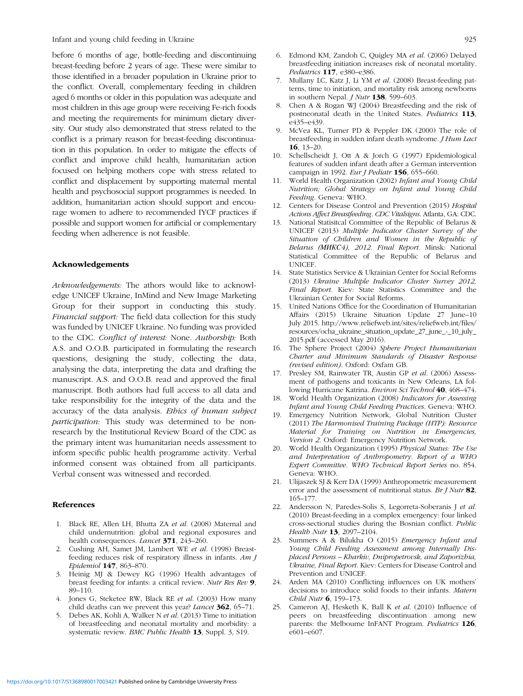<span id="page-8-0"></span>Infant and young child feeding in Ukraine 925

before 6 months of age, bottle-feeding and discontinuing breast-feeding before 2 years of age. These were similar to those identified in a broader population in Ukraine prior to the conflict. Overall, complementary feeding in children aged 6 months or older in this population was adequate and most children in this age group were receiving Fe-rich foods and meeting the requirements for minimum dietary diversity. Our study also demonstrated that stress related to the conflict is a primary reason for breast-feeding discontinuation in this population. In order to mitigate the effects of conflict and improve child health, humanitarian action focused on helping mothers cope with stress related to conflict and displacement by supporting maternal mental health and psychosocial support programmes is needed. In addition, humanitarian action should support and encourage women to adhere to recommended IYCF practices if possible and support women for artificial or complementary feeding when adherence is not feasible.

#### Acknowledgements

Avknowledgements: The athors would like to acknowledge UNICEF Ukraine, InMind and New Image Marketing Group for their support in conducting this study. Financial support: The field data collection for this study was funded by UNICEF Ukraine. No funding was provided to the CDC. Conflict of interest: None. Authorship: Both A.S. and O.O.B. participated in formulating the research questions, designing the study, collecting the data, analysing the data, interpreting the data and drafting the manuscript. A.S. and O.O.B. read and approved the final manuscript. Both authors had full access to all data and take responsibility for the integrity of the data and the accuracy of the data analysis. Ethics of human subject participation: This study was determined to be nonresearch by the Institutional Review Board of the CDC as the primary intent was humanitarian needs assessment to inform specific public health programme activity. Verbal informed consent was obtained from all participants. Verbal consent was witnessed and recorded.

#### References

- 1. Black RE, Allen LH, Bhutta ZA et al. (2008) Maternal and child undernutrition: global and regional exposures and health consequences. *Lancet* **371**, 243-260.
- 2. Cushing AH, Samet JM, Lambert WE et al. (1998) Breastfeeding reduces risk of respiratory illness in infants. Am J Epidemiol 147, 863–870.
- 3. Heinig MJ & Dewey KG (1996) Health advantages of breast feeding for infants: a critical review. Nutr Res Rev 9, 89–110.
- 4. Jones G, Steketee RW, Black RE et al. (2003) How many child deaths can we prevent this year? Lancet 362, 65-71.
- 5. Debes AK, Kohli A, Walker N et al. (2013) Time to initiation of breastfeeding and neonatal mortality and morbidity: a systematic review. BMC Public Health 13, Suppl. 3, S19.
- 6. Edmond KM, Zandoh C, Quigley MA et al. (2006) Delayed breastfeeding initiation increases risk of neonatal mortality. Pediatrics 117, e380–e386.
- 7. Mullany LC, Katz J, Li YM et al. (2008) Breast-feeding patterns, time to initiation, and mortality risk among newborns in southern Nepal. *J Nutr* **138**, 599-603.
- 8. Chen A & Rogan WJ (2004) Breastfeeding and the risk of postneonatal death in the United States. Pediatrics 113, e435–e439.
- 9. McVea KL, Turner PD & Peppler DK (2000) The role of breastfeeding in sudden infant death syndrome. J Hum Lact 16, 13–20.
- 10. Schellscheidt J, Ott A & Jorch G (1997) Epidemiological features of sudden infant death after a German intervention campaign in 1992. Eur J Pediatr  $156$ , 655-660.
- 11. World Health Organization (2002) Infant and Young Child Nutrition; Global Strategy on Infant and Young Child Feeding. Geneva: WHO.
- 12. Centers for Disease Control and Prevention (2015) Hospital Actions Affect Breastfeeding. CDC Vitalsigns. Atlanta, GA: CDC.
- 13. National Statisitcal Committee of the Republic of Belarus & UNICEF (2013) Multiple Indicator Cluster Survey of the Situation of Children and Women in the Republic of Belarus (МИКС4), 2012. Final Report. Minsk: National Statistical Committee of the Republic of Belarus and **UNICEF.**
- 14. State Statistics Service & Ukrainian Center for Social Reforms (2013) Ukraine Multiple Indicator Cluster Survey 2012, Final Report. Kiev: State Statistics Committee and the Ukrainian Center for Social Reforms.
- 15. United Nations Office for the Coordination of Humanitarian Affairs (2015) Ukraine Situation Update 27 June–10 July 2015. [http://www.reliefweb.int/sites/reliefweb.int/](http://www.reliefweb.int/sites/reliefweb.int/files/resources/ocha_ukraine_situation_update_27_june_-_10_july_2015.pdf)files/ [resources/ocha\\_ukraine\\_situation\\_update\\_27\\_june\\_-\\_10\\_july\\_](http://www.reliefweb.int/sites/reliefweb.int/files/resources/ocha_ukraine_situation_update_27_june_-_10_july_2015.pdf) [2015.pdf](http://www.reliefweb.int/sites/reliefweb.int/files/resources/ocha_ukraine_situation_update_27_june_-_10_july_2015.pdf) (accessed May 2016).
- 16. The Sphere Project (2004) Sphere Project Humanitarian Charter and Minimum Standards of Disaster Response (revised edition). Oxford: Oxfam GB.
- 17. Presley SM, Rainwater TR, Austin GP et al. (2006) Assessment of pathogens and toxicants in New Orleans, LA following Hurricane Katrina. Environ Sci Technol 40, 468–474.
- 18. World Health Organization (2008) Indicators for Assessing Infant and Young Child Feeding Practices. Geneva: WHO.
- 19. Emergency Nutrition Network, Global Nutrition Cluster (2011) The Harmonised Training Package (HTP): Resource Material for Training on Nutrition in Emergencies, Version 2. Oxford: Emergency Nutrition Network.
- 20. World Health Organization (1995) Physical Status: The Use and Interpretation of Anthropometry. Report of a WHO Expert Committee. WHO Technical Report Series no. 854. Geneva: WHO.
- 21. Ulijaszek SJ & Kerr DA (1999) Anthropometric measurement error and the assessment of nutritional status. Br J Nutr 82, 165–177.
- 22. Andersson N, Paredes-Solis S, Legorreta-Soberanis J et al. (2010) Breast-feeding in a complex emergency: four linked cross-sectional studies during the Bosnian conflict. Public Health Nutr 13, 2097-2104.
- 23. Summers A & Bilukha O (2015) Emergency Infant and Young Child Feeding Assessment among Internally Displaced Persons – Kharkiv, Dnipropetrovsk, and Zaporizhia, Ukraine, Final Report. Kiev: Centers for Disease Control and Prevention and UNICEF.
- 24. Arden MA (2010) Conflicting influences on UK mothers' decisions to introduce solid foods to their infants. Matern Child Nutr 6, 159–173.
- 25. Cameron AJ, Hesketh K, Ball K et al. (2010) Influence of peers on breastfeeding discontinuation among new parents: the Melbourne InFANT Program. Pediatrics 126, e601–e607.